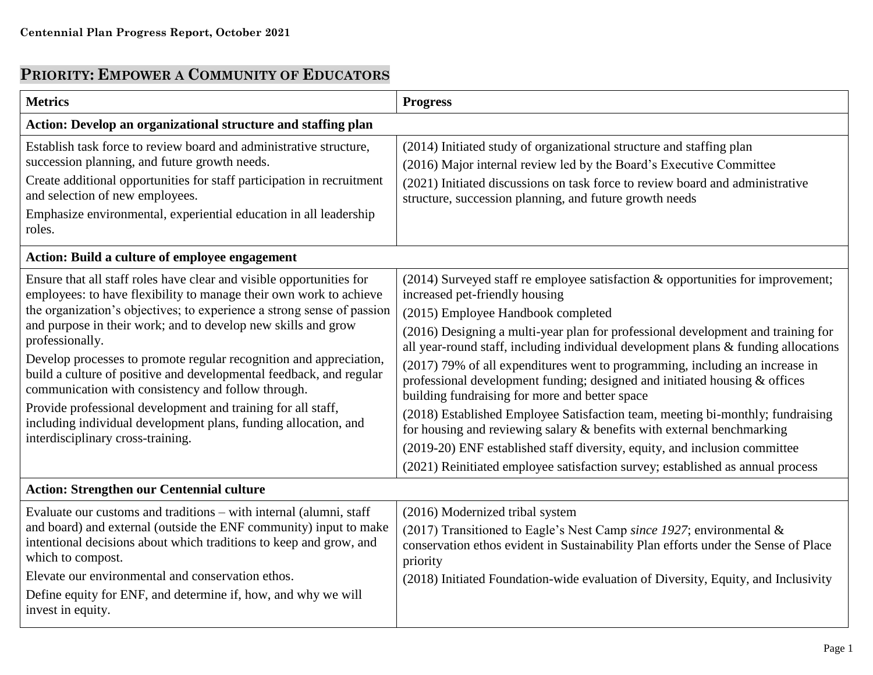## **PRIORITY: EMPOWER A COMMUNITY OF EDUCATORS**

| <b>Metrics</b>                                                                                                                                                                                                                                                                                                                                                                                                                                                                                                                                                                                                                                                                      | <b>Progress</b>                                                                                                                                                                                                                                                                                                                                                                                                                                                                                                                                                                                                                                                                                                                                                                                                                                                               |
|-------------------------------------------------------------------------------------------------------------------------------------------------------------------------------------------------------------------------------------------------------------------------------------------------------------------------------------------------------------------------------------------------------------------------------------------------------------------------------------------------------------------------------------------------------------------------------------------------------------------------------------------------------------------------------------|-------------------------------------------------------------------------------------------------------------------------------------------------------------------------------------------------------------------------------------------------------------------------------------------------------------------------------------------------------------------------------------------------------------------------------------------------------------------------------------------------------------------------------------------------------------------------------------------------------------------------------------------------------------------------------------------------------------------------------------------------------------------------------------------------------------------------------------------------------------------------------|
| Action: Develop an organizational structure and staffing plan                                                                                                                                                                                                                                                                                                                                                                                                                                                                                                                                                                                                                       |                                                                                                                                                                                                                                                                                                                                                                                                                                                                                                                                                                                                                                                                                                                                                                                                                                                                               |
| Establish task force to review board and administrative structure,<br>succession planning, and future growth needs.<br>Create additional opportunities for staff participation in recruitment<br>and selection of new employees.<br>Emphasize environmental, experiential education in all leadership<br>roles.                                                                                                                                                                                                                                                                                                                                                                     | (2014) Initiated study of organizational structure and staffing plan<br>(2016) Major internal review led by the Board's Executive Committee<br>(2021) Initiated discussions on task force to review board and administrative<br>structure, succession planning, and future growth needs                                                                                                                                                                                                                                                                                                                                                                                                                                                                                                                                                                                       |
| <b>Action: Build a culture of employee engagement</b>                                                                                                                                                                                                                                                                                                                                                                                                                                                                                                                                                                                                                               |                                                                                                                                                                                                                                                                                                                                                                                                                                                                                                                                                                                                                                                                                                                                                                                                                                                                               |
| Ensure that all staff roles have clear and visible opportunities for<br>employees: to have flexibility to manage their own work to achieve<br>the organization's objectives; to experience a strong sense of passion<br>and purpose in their work; and to develop new skills and grow<br>professionally.<br>Develop processes to promote regular recognition and appreciation,<br>build a culture of positive and developmental feedback, and regular<br>communication with consistency and follow through.<br>Provide professional development and training for all staff,<br>including individual development plans, funding allocation, and<br>interdisciplinary cross-training. | (2014) Surveyed staff re employee satisfaction & opportunities for improvement;<br>increased pet-friendly housing<br>(2015) Employee Handbook completed<br>(2016) Designing a multi-year plan for professional development and training for<br>all year-round staff, including individual development plans & funding allocations<br>(2017) 79% of all expenditures went to programming, including an increase in<br>professional development funding; designed and initiated housing & offices<br>building fundraising for more and better space<br>(2018) Established Employee Satisfaction team, meeting bi-monthly; fundraising<br>for housing and reviewing salary & benefits with external benchmarking<br>(2019-20) ENF established staff diversity, equity, and inclusion committee<br>(2021) Reinitiated employee satisfaction survey; established as annual process |
| <b>Action: Strengthen our Centennial culture</b>                                                                                                                                                                                                                                                                                                                                                                                                                                                                                                                                                                                                                                    |                                                                                                                                                                                                                                                                                                                                                                                                                                                                                                                                                                                                                                                                                                                                                                                                                                                                               |
| Evaluate our customs and traditions – with internal (alumni, staff)<br>and board) and external (outside the ENF community) input to make<br>intentional decisions about which traditions to keep and grow, and<br>which to compost.<br>Elevate our environmental and conservation ethos.<br>Define equity for ENF, and determine if, how, and why we will<br>invest in equity.                                                                                                                                                                                                                                                                                                      | (2016) Modernized tribal system<br>(2017) Transitioned to Eagle's Nest Camp since 1927; environmental $\&$<br>conservation ethos evident in Sustainability Plan efforts under the Sense of Place<br>priority<br>(2018) Initiated Foundation-wide evaluation of Diversity, Equity, and Inclusivity                                                                                                                                                                                                                                                                                                                                                                                                                                                                                                                                                                             |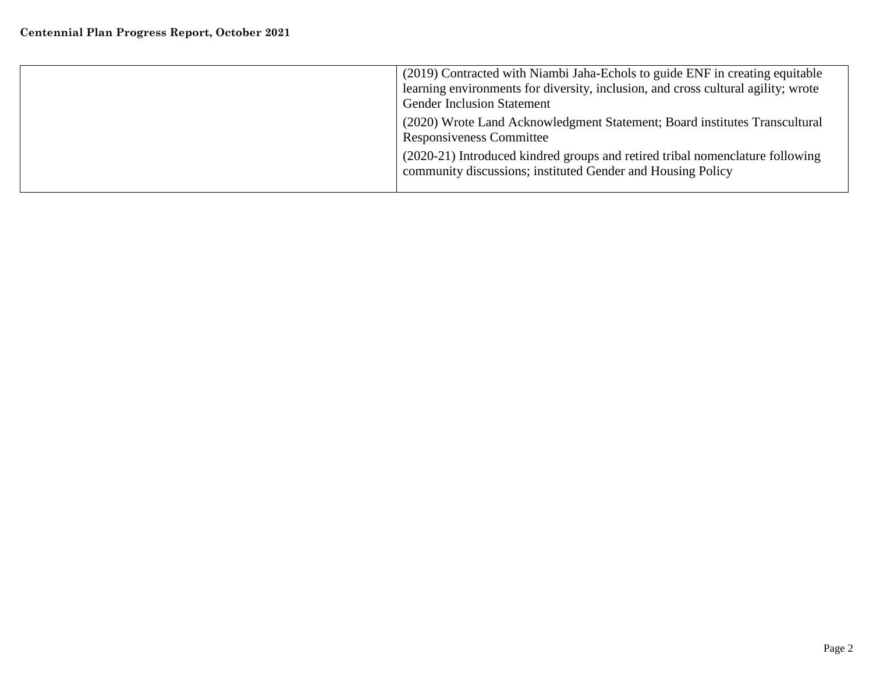| (2019) Contracted with Niambi Jaha-Echols to guide ENF in creating equitable<br>learning environments for diversity, inclusion, and cross cultural agility; wrote<br><b>Gender Inclusion Statement</b> |
|--------------------------------------------------------------------------------------------------------------------------------------------------------------------------------------------------------|
| (2020) Wrote Land Acknowledgment Statement; Board institutes Transcultural<br>Responsiveness Committee                                                                                                 |
| (2020-21) Introduced kindred groups and retired tribal nomenclature following<br>community discussions; instituted Gender and Housing Policy                                                           |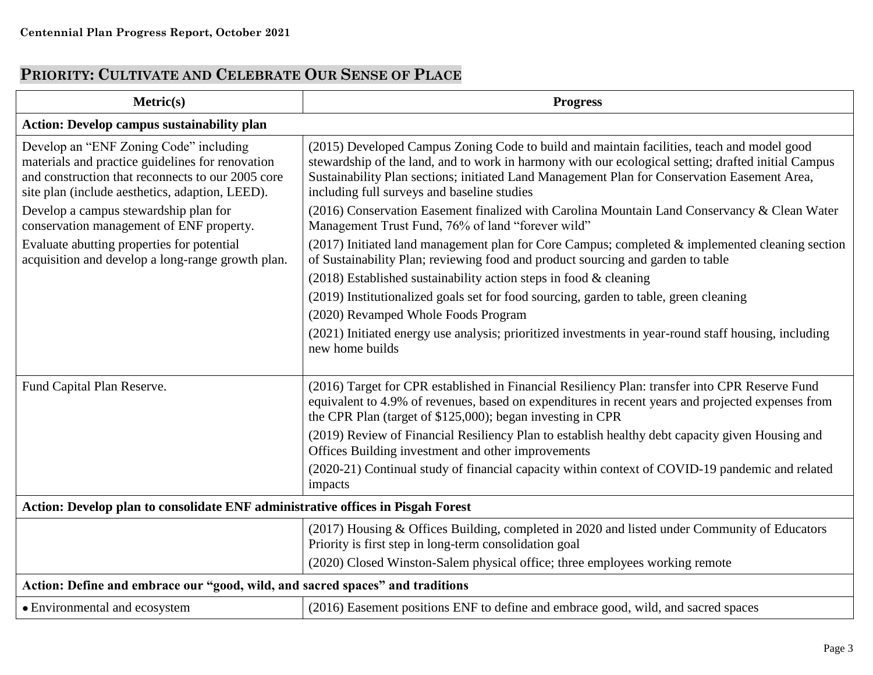## **PRIORITY: CULTIVATE AND CELEBRATE OUR SENSE OF PLACE**

| Metric(s)                                                                                                                                                                                          | <b>Progress</b>                                                                                                                                                                                                                                                                                                                                  |
|----------------------------------------------------------------------------------------------------------------------------------------------------------------------------------------------------|--------------------------------------------------------------------------------------------------------------------------------------------------------------------------------------------------------------------------------------------------------------------------------------------------------------------------------------------------|
| <b>Action: Develop campus sustainability plan</b>                                                                                                                                                  |                                                                                                                                                                                                                                                                                                                                                  |
| Develop an "ENF Zoning Code" including<br>materials and practice guidelines for renovation<br>and construction that reconnects to our 2005 core<br>site plan (include aesthetics, adaption, LEED). | (2015) Developed Campus Zoning Code to build and maintain facilities, teach and model good<br>stewardship of the land, and to work in harmony with our ecological setting; drafted initial Campus<br>Sustainability Plan sections; initiated Land Management Plan for Conservation Easement Area,<br>including full surveys and baseline studies |
| Develop a campus stewardship plan for<br>conservation management of ENF property.                                                                                                                  | (2016) Conservation Easement finalized with Carolina Mountain Land Conservancy & Clean Water<br>Management Trust Fund, 76% of land "forever wild"                                                                                                                                                                                                |
| Evaluate abutting properties for potential<br>acquisition and develop a long-range growth plan.                                                                                                    | (2017) Initiated land management plan for Core Campus; completed & implemented cleaning section<br>of Sustainability Plan; reviewing food and product sourcing and garden to table                                                                                                                                                               |
|                                                                                                                                                                                                    | $(2018)$ Established sustainability action steps in food & cleaning                                                                                                                                                                                                                                                                              |
|                                                                                                                                                                                                    | (2019) Institutionalized goals set for food sourcing, garden to table, green cleaning                                                                                                                                                                                                                                                            |
|                                                                                                                                                                                                    | (2020) Revamped Whole Foods Program                                                                                                                                                                                                                                                                                                              |
|                                                                                                                                                                                                    | (2021) Initiated energy use analysis; prioritized investments in year-round staff housing, including<br>new home builds                                                                                                                                                                                                                          |
| Fund Capital Plan Reserve.                                                                                                                                                                         | (2016) Target for CPR established in Financial Resiliency Plan: transfer into CPR Reserve Fund<br>equivalent to 4.9% of revenues, based on expenditures in recent years and projected expenses from<br>the CPR Plan (target of \$125,000); began investing in CPR                                                                                |
|                                                                                                                                                                                                    | (2019) Review of Financial Resiliency Plan to establish healthy debt capacity given Housing and<br>Offices Building investment and other improvements                                                                                                                                                                                            |
|                                                                                                                                                                                                    | (2020-21) Continual study of financial capacity within context of COVID-19 pandemic and related<br>impacts                                                                                                                                                                                                                                       |
| Action: Develop plan to consolidate ENF administrative offices in Pisgah Forest                                                                                                                    |                                                                                                                                                                                                                                                                                                                                                  |
|                                                                                                                                                                                                    | (2017) Housing & Offices Building, completed in 2020 and listed under Community of Educators<br>Priority is first step in long-term consolidation goal                                                                                                                                                                                           |
|                                                                                                                                                                                                    | (2020) Closed Winston-Salem physical office; three employees working remote                                                                                                                                                                                                                                                                      |
| Action: Define and embrace our "good, wild, and sacred spaces" and traditions                                                                                                                      |                                                                                                                                                                                                                                                                                                                                                  |
| • Environmental and ecosystem                                                                                                                                                                      | (2016) Easement positions ENF to define and embrace good, wild, and sacred spaces                                                                                                                                                                                                                                                                |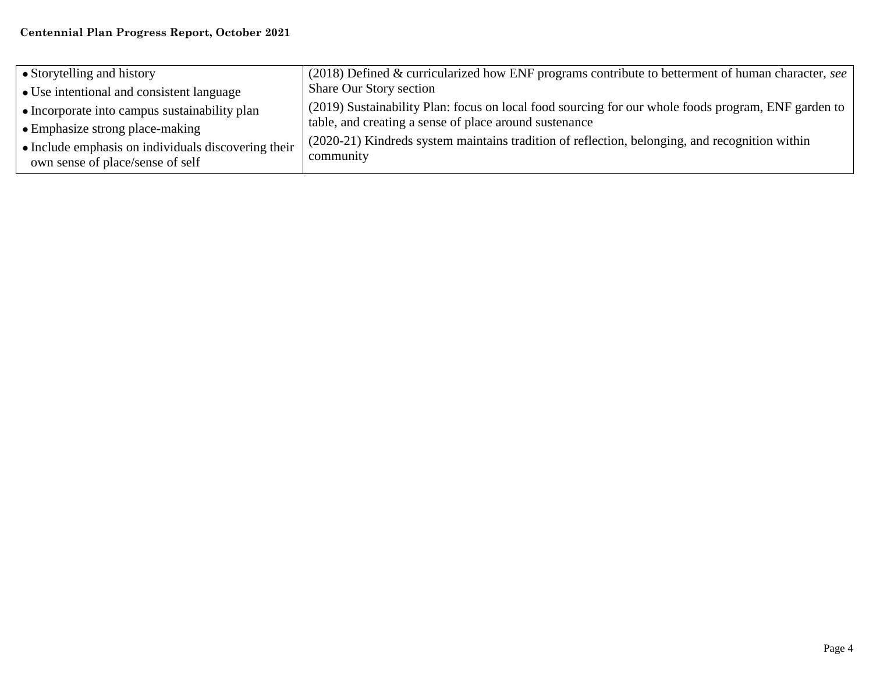| • Storytelling and history                                                              | (2018) Defined & curricularized how ENF programs contribute to betterment of human character, see           |
|-----------------------------------------------------------------------------------------|-------------------------------------------------------------------------------------------------------------|
| • Use intentional and consistent language                                               | <b>Share Our Story section</b>                                                                              |
| • Incorporate into campus sustainability plan                                           | (2019) Sustainability Plan: focus on local food sourcing for our whole foods program, ENF garden to         |
| • Emphasize strong place-making                                                         | table, and creating a sense of place around sustenance                                                      |
| • Include emphasis on individuals discovering their<br>own sense of place/sense of self | (2020-21) Kindreds system maintains tradition of reflection, belonging, and recognition within<br>community |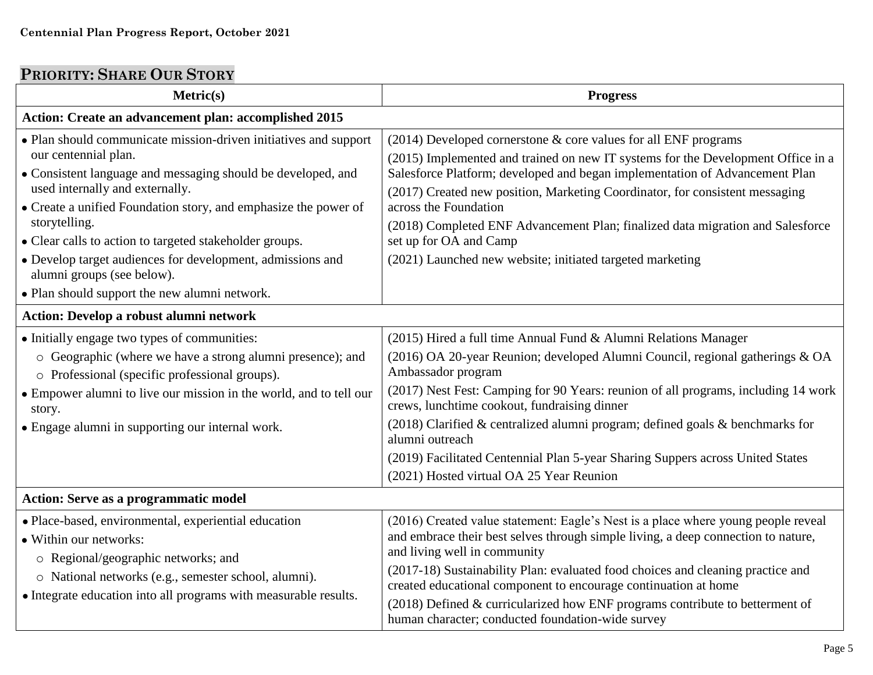## **PRIORITY: SHARE OUR STORY**

| Metric(s)                                                                                                                                                                                                                                                                                                                                                                                                                                                                               | <b>Progress</b>                                                                                                                                                                                                                                                                                                                                                                                                                                                                                                                                |
|-----------------------------------------------------------------------------------------------------------------------------------------------------------------------------------------------------------------------------------------------------------------------------------------------------------------------------------------------------------------------------------------------------------------------------------------------------------------------------------------|------------------------------------------------------------------------------------------------------------------------------------------------------------------------------------------------------------------------------------------------------------------------------------------------------------------------------------------------------------------------------------------------------------------------------------------------------------------------------------------------------------------------------------------------|
| Action: Create an advancement plan: accomplished 2015                                                                                                                                                                                                                                                                                                                                                                                                                                   |                                                                                                                                                                                                                                                                                                                                                                                                                                                                                                                                                |
| • Plan should communicate mission-driven initiatives and support<br>our centennial plan.<br>• Consistent language and messaging should be developed, and<br>used internally and externally.<br>• Create a unified Foundation story, and emphasize the power of<br>storytelling.<br>• Clear calls to action to targeted stakeholder groups.<br>• Develop target audiences for development, admissions and<br>alumni groups (see below).<br>• Plan should support the new alumni network. | $(2014)$ Developed cornerstone $&$ core values for all ENF programs<br>(2015) Implemented and trained on new IT systems for the Development Office in a<br>Salesforce Platform; developed and began implementation of Advancement Plan<br>(2017) Created new position, Marketing Coordinator, for consistent messaging<br>across the Foundation<br>(2018) Completed ENF Advancement Plan; finalized data migration and Salesforce<br>set up for OA and Camp<br>(2021) Launched new website; initiated targeted marketing                       |
| <b>Action: Develop a robust alumni network</b>                                                                                                                                                                                                                                                                                                                                                                                                                                          |                                                                                                                                                                                                                                                                                                                                                                                                                                                                                                                                                |
| • Initially engage two types of communities:<br>o Geographic (where we have a strong alumni presence); and<br>o Professional (specific professional groups).<br>• Empower alumni to live our mission in the world, and to tell our<br>story.<br>• Engage alumni in supporting our internal work.                                                                                                                                                                                        | (2015) Hired a full time Annual Fund & Alumni Relations Manager<br>(2016) OA 20-year Reunion; developed Alumni Council, regional gatherings & OA<br>Ambassador program<br>(2017) Nest Fest: Camping for 90 Years: reunion of all programs, including 14 work<br>crews, lunchtime cookout, fundraising dinner<br>(2018) Clarified & centralized alumni program; defined goals & benchmarks for<br>alumni outreach<br>(2019) Facilitated Centennial Plan 5-year Sharing Suppers across United States<br>(2021) Hosted virtual OA 25 Year Reunion |
| <b>Action: Serve as a programmatic model</b>                                                                                                                                                                                                                                                                                                                                                                                                                                            |                                                                                                                                                                                                                                                                                                                                                                                                                                                                                                                                                |
| · Place-based, environmental, experiential education<br>• Within our networks:<br>o Regional/geographic networks; and<br>o National networks (e.g., semester school, alumni).<br>• Integrate education into all programs with measurable results.                                                                                                                                                                                                                                       | (2016) Created value statement: Eagle's Nest is a place where young people reveal<br>and embrace their best selves through simple living, a deep connection to nature,<br>and living well in community<br>(2017-18) Sustainability Plan: evaluated food choices and cleaning practice and<br>created educational component to encourage continuation at home<br>$(2018)$ Defined & curricularized how ENF programs contribute to betterment of<br>human character; conducted foundation-wide survey                                            |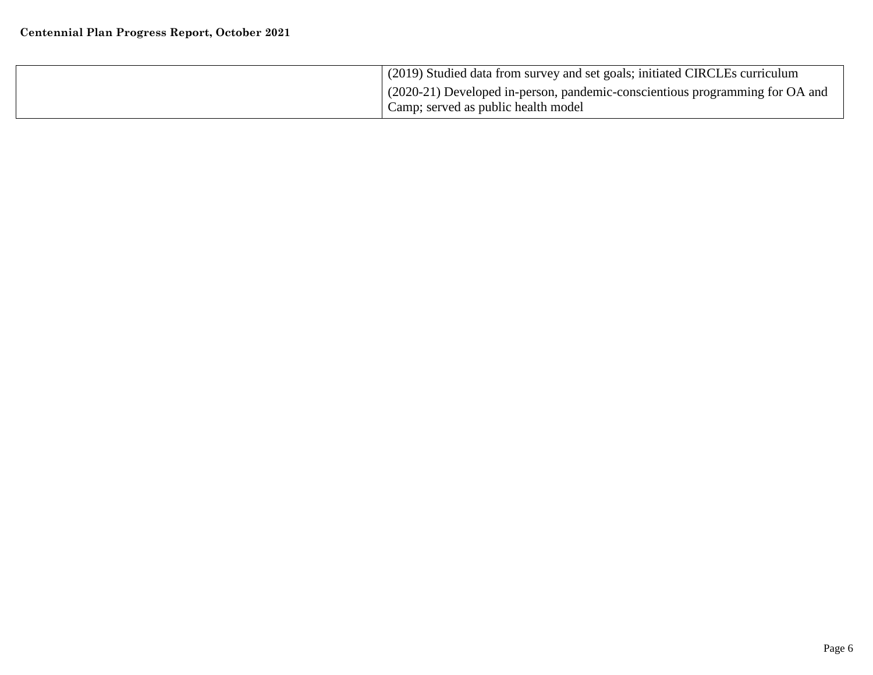| (2019) Studied data from survey and set goals; initiated CIRCLEs curriculum                                           |
|-----------------------------------------------------------------------------------------------------------------------|
| $(2020-21)$ Developed in-person, pandemic-conscientious programming for OA and<br>Camp; served as public health model |